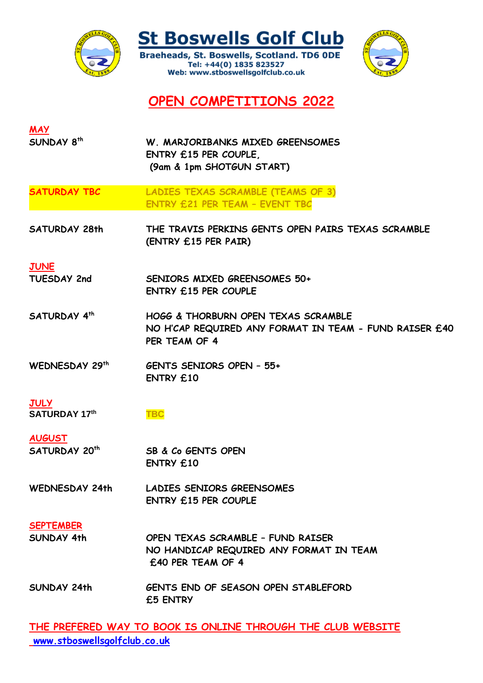

**St Boswells Golf Club** 

Braeheads, St. Boswells, Scotland. TD6 ODE Tel: +44(0) 1835 823527 Web: www.stboswellsgolfclub.co.uk



**OPEN COMPETITIONS 2022**

| <b>MAY</b>                          |                                                                                                                           |
|-------------------------------------|---------------------------------------------------------------------------------------------------------------------------|
| SUNDAY 8 <sup>th</sup>              | W. MARJORIBANKS MIXED GREENSOMES<br>ENTRY £15 PER COUPLE,<br>(9am & 1pm SHOTGUN START)                                    |
|                                     |                                                                                                                           |
| <b>SATURDAY TBC</b>                 | <b>LADIES TEXAS SCRAMBLE (TEAMS OF 3)</b><br><b>ENTRY £21 PER TEAM - EVENT TBC</b>                                        |
| <b>SATURDAY 28th</b>                | THE TRAVIS PERKINS GENTS OPEN PAIRS TEXAS SCRAMBLE<br>(ENTRY £15 PER PAIR)                                                |
| <b>JUNE</b>                         |                                                                                                                           |
| <b>TUESDAY 2nd</b>                  | SENIORS MIXED GREENSOMES 50+<br><b>ENTRY £15 PER COUPLE</b>                                                               |
| SATURDAY 4th                        | <b>HOGG &amp; THORBURN OPEN TEXAS SCRAMBLE</b><br>NO H'CAP REQUIRED ANY FORMAT IN TEAM - FUND RAISER £40<br>PER TEAM OF 4 |
| WEDNESDAY 29th                      | <b>GENTS SENIORS OPEN - 55+</b><br><b>ENTRY £10</b>                                                                       |
| <b>JULY</b><br><b>SATURDAY 17th</b> | <b>TBC</b>                                                                                                                |
| <b>AUGUST</b>                       |                                                                                                                           |
| <b>SATURDAY 20th</b>                | SB & Co GENTS OPEN<br><b>ENTRY £10</b>                                                                                    |
| <b>WEDNESDAY 24th</b>               | <b>LADIES SENIORS GREENSOMES</b><br><b>ENTRY £15 PER COUPLE</b>                                                           |
| <b>SEPTEMBER</b>                    |                                                                                                                           |
| SUNDAY 4th                          | OPEN TEXAS SCRAMBLE - FUND RAISER<br>NO HANDICAP REQUIRED ANY FORMAT IN TEAM<br>£40 PER TEAM OF 4                         |
| SUNDAY 24th                         | <b>GENTS END OF SEASON OPEN STABLEFORD</b><br>£5 ENTRY                                                                    |

**THE PREFERED WAY TO BOOK IS ONLINE THROUGH THE CLUB WEBSITE [www.stboswellsgolfclub.co.uk](http://www.stboswellsgolfclub.co.uk/)**